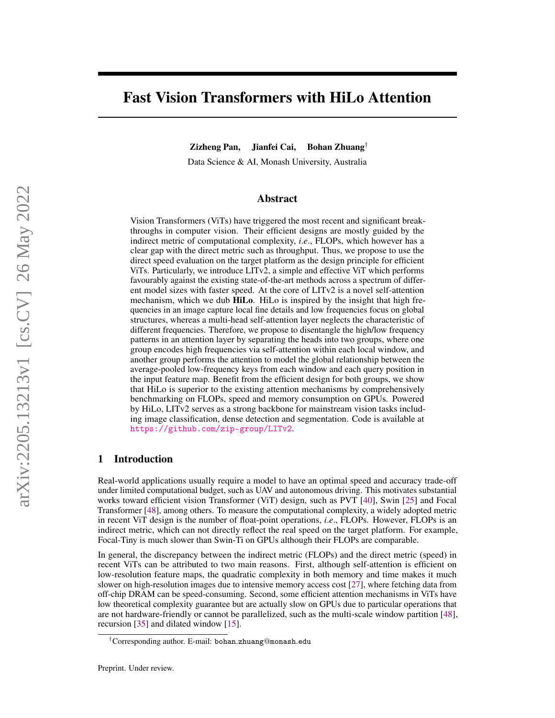# Fast Vision Transformers with HiLo Attention

Zizheng Pan, Jianfei Cai, Bohan Zhuang†

Data Science & AI, Monash University, Australia

## Abstract

Vision Transformers (ViTs) have triggered the most recent and significant breakthroughs in computer vision. Their efficient designs are mostly guided by the indirect metric of computational complexity, *i*.*e*., FLOPs, which however has a clear gap with the direct metric such as throughput. Thus, we propose to use the direct speed evaluation on the target platform as the design principle for efficient ViTs. Particularly, we introduce LITv2, a simple and effective ViT which performs favourably against the existing state-of-the-art methods across a spectrum of different model sizes with faster speed. At the core of LITv2 is a novel self-attention mechanism, which we dub HiLo. HiLo is inspired by the insight that high frequencies in an image capture local fine details and low frequencies focus on global structures, whereas a multi-head self-attention layer neglects the characteristic of different frequencies. Therefore, we propose to disentangle the high/low frequency patterns in an attention layer by separating the heads into two groups, where one group encodes high frequencies via self-attention within each local window, and another group performs the attention to model the global relationship between the average-pooled low-frequency keys from each window and each query position in the input feature map. Benefit from the efficient design for both groups, we show that HiLo is superior to the existing attention mechanisms by comprehensively benchmarking on FLOPs, speed and memory consumption on GPUs. Powered by HiLo, LITv2 serves as a strong backbone for mainstream vision tasks including image classification, dense detection and segmentation. Code is available at <https://github.com/zip-group/LITv2>.

## 1 Introduction

Real-world applications usually require a model to have an optimal speed and accuracy trade-off under limited computational budget, such as UAV and autonomous driving. This motivates substantial works toward efficient vision Transformer (ViT) design, such as PVT [\[40\]](#page-14-0), Swin [\[25\]](#page-13-0) and Focal Transformer [\[48\]](#page-14-1), among others. To measure the computational complexity, a widely adopted metric in recent ViT design is the number of float-point operations, *i*.*e*., FLOPs. However, FLOPs is an indirect metric, which can not directly reflect the real speed on the target platform. For example, Focal-Tiny is much slower than Swin-Ti on GPUs although their FLOPs are comparable.

In general, the discrepancy between the indirect metric (FLOPs) and the direct metric (speed) in recent ViTs can be attributed to two main reasons. First, although self-attention is efficient on low-resolution feature maps, the quadratic complexity in both memory and time makes it much slower on high-resolution images due to intensive memory access cost [\[27\]](#page-13-1), where fetching data from off-chip DRAM can be speed-consuming. Second, some efficient attention mechanisms in ViTs have low theoretical complexity guarantee but are actually slow on GPUs due to particular operations that are not hardware-friendly or cannot be parallelized, such as the multi-scale window partition [\[48\]](#page-14-1), recursion [\[35\]](#page-13-2) and dilated window [\[15\]](#page-13-3).

<sup>†</sup>Corresponding author. E-mail: bohan.zhuang@monash.edu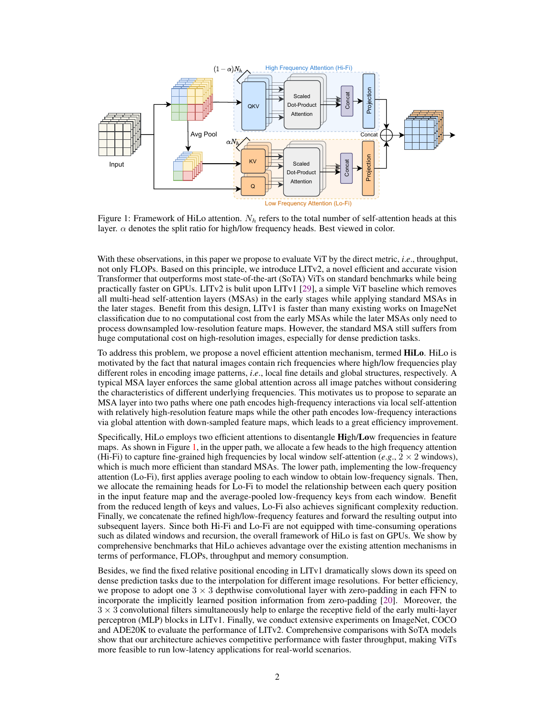<span id="page-1-0"></span>

Figure 1: Framework of HiLo attention.  $N_h$  refers to the total number of self-attention heads at this layer.  $\alpha$  denotes the split ratio for high/low frequency heads. Best viewed in color.

With these observations, in this paper we propose to evaluate ViT by the direct metric, *i*.*e*., throughput, not only FLOPs. Based on this principle, we introduce LITv2, a novel efficient and accurate vision Transformer that outperforms most state-of-the-art (SoTA) ViTs on standard benchmarks while being practically faster on GPUs. LITv2 is bulit upon LITv1 [\[29\]](#page-13-4), a simple ViT baseline which removes all multi-head self-attention layers (MSAs) in the early stages while applying standard MSAs in the later stages. Benefit from this design, LITv1 is faster than many existing works on ImageNet classification due to no computational cost from the early MSAs while the later MSAs only need to process downsampled low-resolution feature maps. However, the standard MSA still suffers from huge computational cost on high-resolution images, especially for dense prediction tasks.

To address this problem, we propose a novel efficient attention mechanism, termed HiLo. HiLo is motivated by the fact that natural images contain rich frequencies where high/low frequencies play different roles in encoding image patterns, *i*.*e*., local fine details and global structures, respectively. A typical MSA layer enforces the same global attention across all image patches without considering the characteristics of different underlying frequencies. This motivates us to propose to separate an MSA layer into two paths where one path encodes high-frequency interactions via local self-attention with relatively high-resolution feature maps while the other path encodes low-frequency interactions via global attention with down-sampled feature maps, which leads to a great efficiency improvement.

Specifically, HiLo employs two efficient attentions to disentangle High/Low frequencies in feature maps. As shown in Figure [1,](#page-1-0) in the upper path, we allocate a few heads to the high frequency attention (Hi-Fi) to capture fine-grained high frequencies by local window self-attention (*e.g.*,  $2 \times 2$  windows), which is much more efficient than standard MSAs. The lower path, implementing the low-frequency attention (Lo-Fi), first applies average pooling to each window to obtain low-frequency signals. Then, we allocate the remaining heads for Lo-Fi to model the relationship between each query position in the input feature map and the average-pooled low-frequency keys from each window. Benefit from the reduced length of keys and values, Lo-Fi also achieves significant complexity reduction. Finally, we concatenate the refined high/low-frequency features and forward the resulting output into subsequent layers. Since both Hi-Fi and Lo-Fi are not equipped with time-consuming operations such as dilated windows and recursion, the overall framework of HiLo is fast on GPUs. We show by comprehensive benchmarks that HiLo achieves advantage over the existing attention mechanisms in terms of performance, FLOPs, throughput and memory consumption.

Besides, we find the fixed relative positional encoding in LITv1 dramatically slows down its speed on dense prediction tasks due to the interpolation for different image resolutions. For better efficiency, we propose to adopt one  $3 \times 3$  depthwise convolutional layer with zero-padding in each FFN to incorporate the implicitly learned position information from zero-padding [\[20\]](#page-13-5). Moreover, the  $3 \times 3$  convolutional filters simultaneously help to enlarge the receptive field of the early multi-layer perceptron (MLP) blocks in LITv1. Finally, we conduct extensive experiments on ImageNet, COCO and ADE20K to evaluate the performance of LITv2. Comprehensive comparisons with SoTA models show that our architecture achieves competitive performance with faster throughput, making ViTs more feasible to run low-latency applications for real-world scenarios.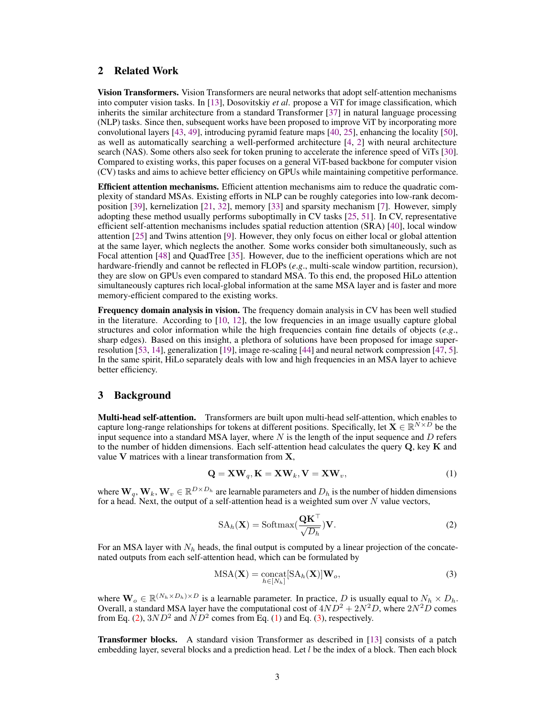# 2 Related Work

Vision Transformers. Vision Transformers are neural networks that adopt self-attention mechanisms into computer vision tasks. In [\[13\]](#page-13-6), Dosovitskiy *et al*. propose a ViT for image classification, which inherits the similar architecture from a standard Transformer [\[37\]](#page-13-7) in natural language processing (NLP) tasks. Since then, subsequent works have been proposed to improve ViT by incorporating more convolutional layers [\[43,](#page-14-2) [49\]](#page-14-3), introducing pyramid feature maps [\[40,](#page-14-0) [25\]](#page-13-0), enhancing the locality [\[50\]](#page-14-4), as well as automatically searching a well-performed architecture [\[4,](#page-12-0) [2\]](#page-12-1) with neural architecture search (NAS). Some others also seek for token pruning to accelerate the inference speed of ViTs [\[30\]](#page-13-8). Compared to existing works, this paper focuses on a general ViT-based backbone for computer vision (CV) tasks and aims to achieve better efficiency on GPUs while maintaining competitive performance.

Efficient attention mechanisms. Efficient attention mechanisms aim to reduce the quadratic complexity of standard MSAs. Existing efforts in NLP can be roughly categories into low-rank decomposition [\[39\]](#page-13-9), kernelization [\[21,](#page-13-10) [32\]](#page-13-11), memory [\[33\]](#page-13-12) and sparsity mechanism [\[7\]](#page-12-2). However, simply adopting these method usually performs suboptimally in CV tasks [\[25,](#page-13-0) [51\]](#page-14-5). In CV, representative efficient self-attention mechanisms includes spatial reduction attention (SRA) [\[40\]](#page-14-0), local window attention [\[25\]](#page-13-0) and Twins attention [\[9\]](#page-12-3). However, they only focus on either local or global attention at the same layer, which neglects the another. Some works consider both simultaneously, such as Focal attention [\[48\]](#page-14-1) and QuadTree [\[35\]](#page-13-2). However, due to the inefficient operations which are not hardware-friendly and cannot be reflected in FLOPs (*e*.*g*., multi-scale window partition, recursion), they are slow on GPUs even compared to standard MSA. To this end, the proposed HiLo attention simultaneously captures rich local-global information at the same MSA layer and is faster and more memory-efficient compared to the existing works.

Frequency domain analysis in vision. The frequency domain analysis in CV has been well studied in the literature. According to [\[10,](#page-12-4) [12\]](#page-13-13), the low frequencies in an image usually capture global structures and color information while the high frequencies contain fine details of objects (*e*.*g*., sharp edges). Based on this insight, a plethora of solutions have been proposed for image superresolution [\[53,](#page-14-6) [14\]](#page-13-14), generalization [\[19\]](#page-13-15), image re-scaling [\[44\]](#page-14-7) and neural network compression [\[47,](#page-14-8) [5\]](#page-12-5). In the same spirit, HiLo separately deals with low and high frequencies in an MSA layer to achieve better efficiency.

# 3 Background

Multi-head self-attention. Transformers are built upon multi-head self-attention, which enables to capture long-range relationships for tokens at different positions. Specifically, let  $\mathbf{X} \in \mathbb{R}^{N \times D}$  be the input sequence into a standard MSA layer, where  $N$  is the length of the input sequence and  $D$  refers to the number of hidden dimensions. Each self-attention head calculates the query  $Q$ , key  $K$  and value  $V$  matrices with a linear transformation from  $X$ ,

<span id="page-2-1"></span>
$$
\mathbf{Q} = \mathbf{X}\mathbf{W}_q, \mathbf{K} = \mathbf{X}\mathbf{W}_k, \mathbf{V} = \mathbf{X}\mathbf{W}_v,
$$
\n(1)

where  $W_q, W_k, W_v \in \mathbb{R}^{D \times D_h}$  are learnable parameters and  $D_h$  is the number of hidden dimensions for a head. Next, the output of a self-attention head is a weighted sum over  $N$  value vectors,

<span id="page-2-0"></span>
$$
SA_h(\mathbf{X}) = Softmax(\frac{\mathbf{QK}^{\top}}{\sqrt{D_h}})\mathbf{V}.
$$
 (2)

For an MSA layer with  $N_h$  heads, the final output is computed by a linear projection of the concatenated outputs from each self-attention head, which can be formulated by

<span id="page-2-2"></span>
$$
MSA(\mathbf{X}) = \underset{h \in [N_h]}{\text{concat}} [SA_h(\mathbf{X})] \mathbf{W}_o,
$$
\n(3)

where  $\mathbf{W}_o \in \mathbb{R}^{(N_h \times D_h) \times D}$  is a learnable parameter. In practice, D is usually equal to  $N_h \times D_h$ . Overall, a standard MSA layer have the computational cost of  $4ND^2 + 2N^2D$ , where  $2N^2D$  comes from Eq. [\(2\)](#page-2-0),  $3ND^2$  and  $ND^2$  comes from Eq. [\(1\)](#page-2-1) and Eq. [\(3\)](#page-2-2), respectively.

**Transformer blocks.** A standard vision Transformer as described in [\[13\]](#page-13-6) consists of a patch embedding layer, several blocks and a prediction head. Let  $l$  be the index of a block. Then each block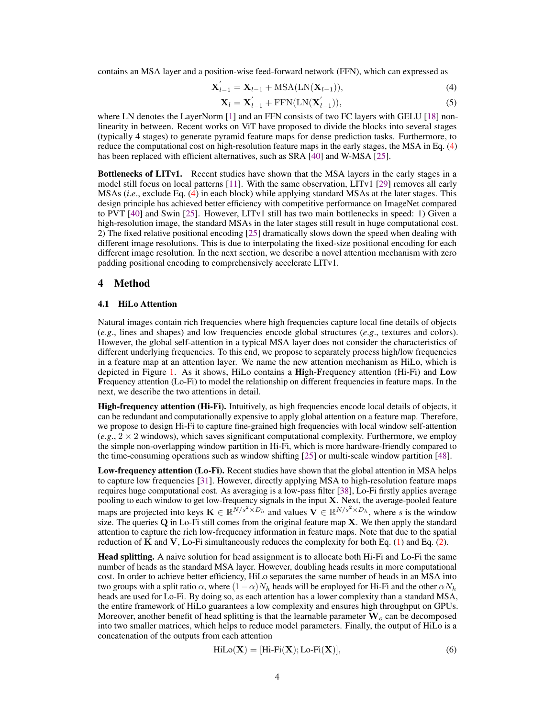contains an MSA layer and a position-wise feed-forward network (FFN), which can expressed as

$$
\mathbf{X}'_{l-1} = \mathbf{X}_{l-1} + \text{MSA}(\text{LN}(\mathbf{X}_{l-1})),\tag{4}
$$

<span id="page-3-0"></span>
$$
\mathbf{X}_{l} = \mathbf{X}_{l-1}^{'} + \text{FFN}(\text{LN}(\mathbf{X}_{l-1}^{'})),\tag{5}
$$

where LN denotes the LayerNorm [\[1\]](#page-12-6) and an FFN consists of two FC layers with GELU [\[18\]](#page-13-16) nonlinearity in between. Recent works on ViT have proposed to divide the blocks into several stages (typically 4 stages) to generate pyramid feature maps for dense prediction tasks. Furthermore, to reduce the computational cost on high-resolution feature maps in the early stages, the MSA in Eq. [\(4\)](#page-3-0) has been replaced with efficient alternatives, such as SRA [\[40\]](#page-14-0) and W-MSA [\[25\]](#page-13-0).

Bottlenecks of LITv1. Recent studies have shown that the MSA layers in the early stages in a model still focus on local patterns [\[11\]](#page-12-7). With the same observation, LITv1 [\[29\]](#page-13-4) removes all early MSAs (*i*.*e*., exclude Eq. [\(4\)](#page-3-0) in each block) while applying standard MSAs at the later stages. This design principle has achieved better efficiency with competitive performance on ImageNet compared to PVT [\[40\]](#page-14-0) and Swin [\[25\]](#page-13-0). However, LITv1 still has two main bottlenecks in speed: 1) Given a high-resolution image, the standard MSAs in the later stages still result in huge computational cost. 2) The fixed relative positional encoding [\[25\]](#page-13-0) dramatically slows down the speed when dealing with different image resolutions. This is due to interpolating the fixed-size positional encoding for each different image resolution. In the next section, we describe a novel attention mechanism with zero padding positional encoding to comprehensively accelerate LITv1.

# 4 Method

#### <span id="page-3-1"></span>4.1 HiLo Attention

Natural images contain rich frequencies where high frequencies capture local fine details of objects (*e*.*g*., lines and shapes) and low frequencies encode global structures (*e*.*g*., textures and colors). However, the global self-attention in a typical MSA layer does not consider the characteristics of different underlying frequencies. To this end, we propose to separately process high/low frequencies in a feature map at an attention layer. We name the new attention mechanism as HiLo, which is depicted in Figure [1.](#page-1-0) As it shows, HiLo contains a High-Frequency attention (Hi-Fi) and Low Frequency attention (Lo-Fi) to model the relationship on different frequencies in feature maps. In the next, we describe the two attentions in detail.

High-frequency attention (Hi-Fi). Intuitively, as high frequencies encode local details of objects, it can be redundant and computationally expensive to apply global attention on a feature map. Therefore, we propose to design Hi-Fi to capture fine-grained high frequencies with local window self-attention  $(e.g., 2 \times 2$  windows), which saves significant computational complexity. Furthermore, we employ the simple non-overlapping window partition in Hi-Fi, which is more hardware-friendly compared to the time-consuming operations such as window shifting [\[25\]](#page-13-0) or multi-scale window partition [\[48\]](#page-14-1).

Low-frequency attention (Lo-Fi). Recent studies have shown that the global attention in MSA helps to capture low frequencies [\[31\]](#page-13-17). However, directly applying MSA to high-resolution feature maps requires huge computational cost. As averaging is a low-pass filter [\[38\]](#page-13-18), Lo-Fi firstly applies average pooling to each window to get low-frequency signals in the input X. Next, the average-pooled feature maps are projected into keys  $\mathbf{K} \in \mathbb{R}^{N/s^2 \times D_h}$  and values  $\mathbf{V} \in \mathbb{R}^{N/s^2 \times D_h}$ , where s is the window size. The queries  $Q$  in Lo-Fi still comes from the original feature map  $X$ . We then apply the standard attention to capture the rich low-frequency information in feature maps. Note that due to the spatial reduction of  $\bf{K}$  and  $\bf{V}$ , Lo-Fi simultaneously reduces the complexity for both Eq. [\(1\)](#page-2-1) and Eq. [\(2\)](#page-2-0).

Head splitting. A naive solution for head assignment is to allocate both Hi-Fi and Lo-Fi the same number of heads as the standard MSA layer. However, doubling heads results in more computational cost. In order to achieve better efficiency, HiLo separates the same number of heads in an MSA into two groups with a split ratio  $\alpha$ , where  $(1-\alpha)N_h$  heads will be employed for Hi-Fi and the other  $\alpha N_h$ heads are used for Lo-Fi. By doing so, as each attention has a lower complexity than a standard MSA, the entire framework of HiLo guarantees a low complexity and ensures high throughput on GPUs. Moreover, another benefit of head splitting is that the learnable parameter  $\mathbf{W}_o$  can be decomposed into two smaller matrices, which helps to reduce model parameters. Finally, the output of HiLo is a concatenation of the outputs from each attention

$$
\text{HiLo}(\mathbf{X}) = [\text{Hi-Fi}(\mathbf{X}); \text{Lo-Fi}(\mathbf{X})],\tag{6}
$$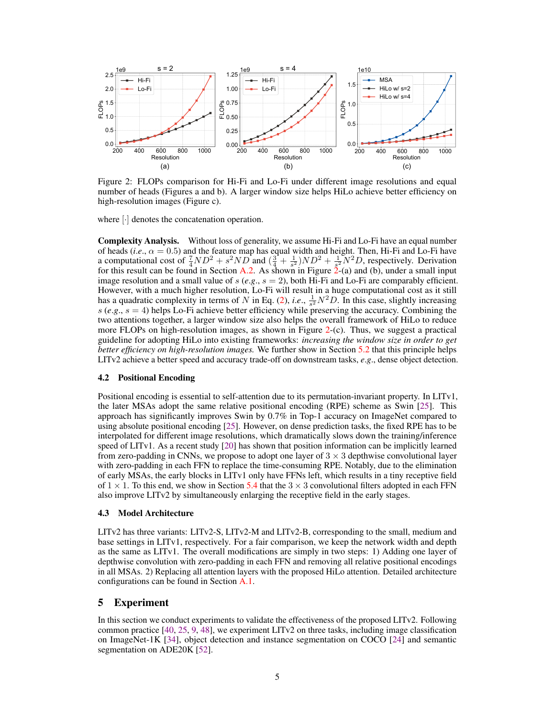<span id="page-4-0"></span>

82.0 Figure 2: FLOPs comparison for Hi-Fi and Lo-Fi under different image resolutions and equal number of heads (Figures a and b). A larger window size helps HiLo achieve better efficiency on high-resolution images (Figure c).

image resolution and a small value of  $s$  ( $e.g., s = 2$ ), both Hi-Fi and Lo-Fi are comparably efficient. for this result can be found in Section [A.2.](#page-10-0) As shown in Figure [2-](#page-4-0)(a) and (b), under a small input of heads  $(i.e.,  $\alpha = 0.5$ )$  and the feature map has equal width and height. Then, Hi-Fi and Lo-Fi have 81.6 where [·] denotes the concatenation operation.<br> **Complexity Analysis.** Without loss of gener<br>
of heads (*i.e.*,  $\alpha = 0.5$ ) and the feature map has a computational cost of  $\frac{7}{4}ND^2 + s^2ND$  and  $(\frac{3}{4} + \frac{1}{s^2})ND^2 + \frac{1}{s^2}N^2D$ , respectively. Derivation **Complexity Analysis.** Without loss of generality, we assume Hi-Fi and Lo-Fi have an equal number However, with a much higher resolution, Lo-Fi will result in a huge computational cost as it still has a quadratic complexity in terms of N in Eq. [\(2\)](#page-2-0), *i.e.*,  $\frac{1}{s^2}N^2D$ . In this case, slightly increasing  $s$  ( $e.g., s = 4$ ) helps Lo-Fi achieve better efficiency while preserving the accuracy. Combining the two attentions together, a larger window size also helps the overall framework of HiLo to reduce more FLOPs on high-resolution images, as shown in Figure [2-](#page-4-0)(c). Thus, we suggest a practical guideline for adopting HiLo into existing frameworks: *increasing the window size in order to get better efficiency on high-resolution images.* We further show in Section [5.2](#page-6-0) that this principle helps LITv2 achieve a better speed and accuracy trade-off on downstream tasks, *e*.*g*., dense object detection.

#### 4.2 Positional Encoding

Positional encoding is essential to self-attention due to its permutation-invariant property. In LITv1, the later MSAs adopt the same relative positional encoding (RPE) scheme as Swin [\[25\]](#page-13-0). This approach has significantly improves Swin by 0.7% in Top-1 accuracy on ImageNet compared to using absolute positional encoding [\[25\]](#page-13-0). However, on dense prediction tasks, the fixed RPE has to be interpolated for different image resolutions, which dramatically slows down the training/inference speed of LITv1. As a recent study [\[20\]](#page-13-5) has shown that position information can be implicitly learned from zero-padding in CNNs, we propose to adopt one layer of  $3 \times 3$  depthwise convolutional layer with zero-padding in each FFN to replace the time-consuming RPE. Notably, due to the elimination of early MSAs, the early blocks in LITv1 only have FFNs left, which results in a tiny receptive field of  $1 \times 1$ . To this end, we show in Section [5.4](#page-7-0) that the  $3 \times 3$  convolutional filters adopted in each FFN also improve LITv2 by simultaneously enlarging the receptive field in the early stages.

#### 4.3 Model Architecture

LITv2 has three variants: LITv2-S, LITv2-M and LITv2-B, corresponding to the small, medium and base settings in LITv1, respectively. For a fair comparison, we keep the network width and depth as the same as LITv1. The overall modifications are simply in two steps: 1) Adding one layer of depthwise convolution with zero-padding in each FFN and removing all relative positional encodings in all MSAs. 2) Replacing all attention layers with the proposed HiLo attention. Detailed architecture configurations can be found in Section [A.1.](#page-10-1)

## 5 Experiment

In this section we conduct experiments to validate the effectiveness of the proposed LITv2. Following common practice [\[40,](#page-14-0) [25,](#page-13-0) [9,](#page-12-3) [48\]](#page-14-1), we experiment LITv2 on three tasks, including image classification on ImageNet-1K [\[34\]](#page-13-19), object detection and instance segmentation on COCO [\[24\]](#page-13-20) and semantic segmentation on ADE20K [\[52\]](#page-14-9).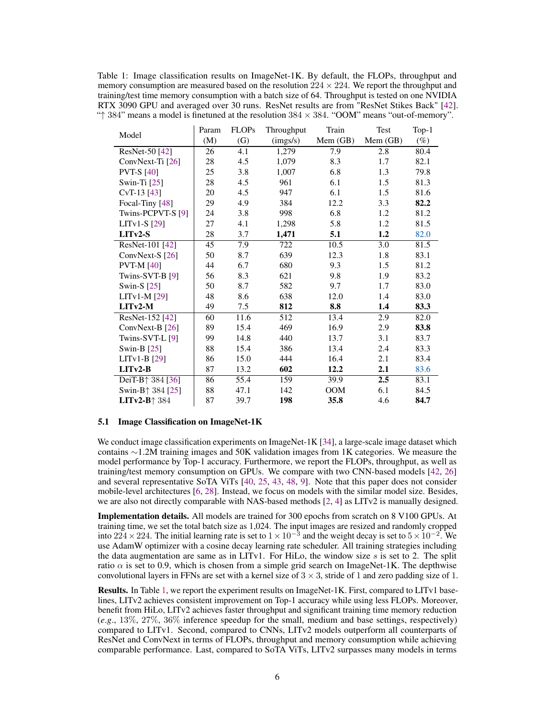<span id="page-5-0"></span>Table 1: Image classification results on ImageNet-1K. By default, the FLOPs, throughput and memory consumption are measured based on the resolution  $224 \times 224$ . We report the throughput and training/test time memory consumption with a batch size of 64. Throughput is tested on one NVIDIA RTX 3090 GPU and averaged over 30 runs. ResNet results are from "ResNet Stikes Back" [\[42\]](#page-14-10). " $\uparrow$  384" means a model is finetuned at the resolution 384  $\times$  384. "OOM" means "out-of-memory".

| Model                                            | Param | <b>FLOPs</b> | Throughput | Train            | Test     | Top-1  |
|--------------------------------------------------|-------|--------------|------------|------------------|----------|--------|
|                                                  | (M)   | (G)          | (mgs/s)    | Mem (GB)         | Mem (GB) | $(\%)$ |
| ResNet-50 [42]                                   | 26    | 4.1          | 1,279      | $\overline{7.9}$ | 2.8      | 80.4   |
| ConvNext-Ti [26]                                 | 28    | 4.5          | 1,079      | 8.3              | 1.7      | 82.1   |
| <b>PVT-S</b> [40]                                | 25    | 3.8          | 1,007      | 6.8              | 1.3      | 79.8   |
| Swin-Ti $[25]$                                   | 28    | 4.5          | 961        | 6.1              | 1.5      | 81.3   |
| $CvT-13[43]$                                     | 20    | 4.5          | 947        | 6.1              | 1.5      | 81.6   |
| Focal-Tiny [48]                                  | 29    | 4.9          | 384        | 12.2             | 3.3      | 82.2   |
| Twins-PCPVT-S [9]                                | 24    | 3.8          | 998        | 6.8              | 1.2      | 81.2   |
| LIT <sub>v1</sub> -S $[29]$                      | 27    | 4.1          | 1,298      | 5.8              | 1.2      | 81.5   |
| $LI$ Tv2-S                                       | 28    | 3.7          | 1,471      | 5.1              | 1.2      | 82.0   |
| ResNet-101 [42]                                  | 45    | 7.9          | 722        | 10.5             | 3.0      | 81.5   |
| ConvNext-S [26]                                  | 50    | 8.7          | 639        | 12.3             | 1.8      | 83.1   |
| <b>PVT-M</b> [40]                                | 44    | 6.7          | 680        | 9.3              | 1.5      | 81.2   |
| Twins-SVT-B $[9]$                                | 56    | 8.3          | 621        | 9.8              | 1.9      | 83.2   |
| Swin-S $[25]$                                    | 50    | 8.7          | 582        | 9.7              | 1.7      | 83.0   |
| LITv1-M [29]                                     | 48    | 8.6          | 638        | 12.0             | 1.4      | 83.0   |
| $LI$ Tv2-M                                       | 49    | 7.5          | 812        | 8.8              | 1.4      | 83.3   |
| ResNet-152 [42]                                  | 60    | 11.6         | 512        | 13.4             | 2.9      | 82.0   |
| ConvNext-B [26]                                  | 89    | 15.4         | 469        | 16.9             | 2.9      | 83.8   |
| Twins-SVT-L $[9]$                                | 99    | 14.8         | 440        | 13.7             | 3.1      | 83.7   |
| Swin-B [25]                                      | 88    | 15.4         | 386        | 13.4             | 2.4      | 83.3   |
| $LITv1-B$ [29]                                   | 86    | 15.0         | 444        | 16.4             | 2.1      | 83.4   |
| $LITv2-B$                                        | 87    | 13.2         | 602        | 12.2             | 2.1      | 83.6   |
| DeiT-B <sup><math>\uparrow</math></sup> 384 [36] | 86    | 55.4         | 159        | 39.9             | 2.5      | 83.1   |
| Swin-B $\uparrow$ 384 [25]                       | 88    | 47.1         | 142        | <b>OOM</b>       | 6.1      | 84.5   |
| LITv2-B $\uparrow$ 384                           | 87    | 39.7         | 198        | 35.8             | 4.6      | 84.7   |

#### 5.1 Image Classification on ImageNet-1K

We conduct image classification experiments on ImageNet-1K [\[34\]](#page-13-19), a large-scale image dataset which contains ∼1.2M training images and 50K validation images from 1K categories. We measure the model performance by Top-1 accuracy. Furthermore, we report the FLOPs, throughput, as well as training/test memory consumption on GPUs. We compare with two CNN-based models [\[42,](#page-14-10) [26\]](#page-13-21) and several representative SoTA ViTs [\[40,](#page-14-0) [25,](#page-13-0) [43,](#page-14-2) [48,](#page-14-1) [9\]](#page-12-3). Note that this paper does not consider mobile-level architectures [\[6,](#page-12-8) [28\]](#page-13-23). Instead, we focus on models with the similar model size. Besides, we are also not directly comparable with NAS-based methods [\[2,](#page-12-1) [4\]](#page-12-0) as LITv2 is manually designed.

Implementation details. All models are trained for 300 epochs from scratch on 8 V100 GPUs. At training time, we set the total batch size as 1,024. The input images are resized and randomly cropped into 224 × 224. The initial learning rate is set to  $1 \times 10^{-3}$  and the weight decay is set to  $5 \times 10^{-2}$ . We use AdamW optimizer with a cosine decay learning rate scheduler. All training strategies including the data augmentation are same as in LITv1. For HiLo, the window size  $s$  is set to 2. The split ratio  $\alpha$  is set to 0.9, which is chosen from a simple grid search on ImageNet-1K. The depthwise convolutional layers in FFNs are set with a kernel size of  $3 \times 3$ , stride of 1 and zero padding size of 1.

Results. In Table [1,](#page-5-0) we report the experiment results on ImageNet-1K. First, compared to LITv1 baselines, LITv2 achieves consistent improvement on Top-1 accuracy while using less FLOPs. Moreover, benefit from HiLo, LITv2 achieves faster throughput and significant training time memory reduction (*e*.*g*., 13%, 27%, 36% inference speedup for the small, medium and base settings, respectively) compared to LITv1. Second, compared to CNNs, LITv2 models outperform all counterparts of ResNet and ConvNext in terms of FLOPs, throughput and memory consumption while achieving comparable performance. Last, compared to SoTA ViTs, LITv2 surpasses many models in terms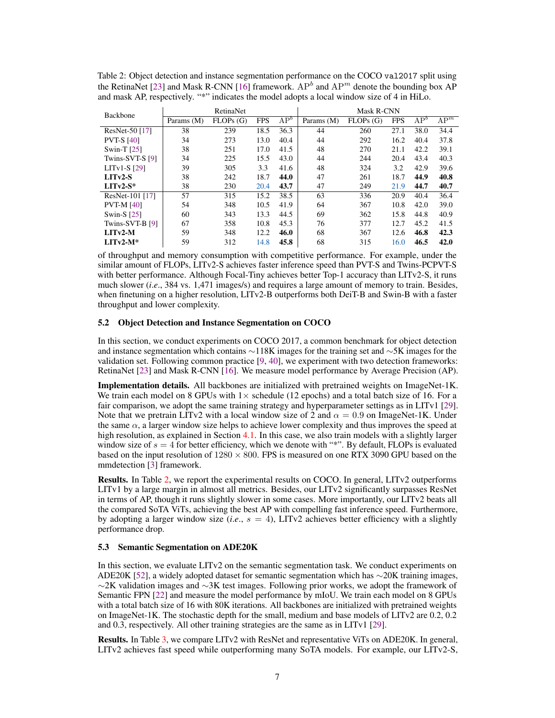| Backbone          | RetinaNet  |          |            |                 | Mask R-CNN |          |            |                 |        |
|-------------------|------------|----------|------------|-----------------|------------|----------|------------|-----------------|--------|
|                   | Params (M) | FLOPs(G) | <b>FPS</b> | AP <sup>b</sup> | Params (M) | FLOPs(G) | <b>FPS</b> | AP <sup>b</sup> | $AP^m$ |
| ResNet-50 [17]    | 38         | 239      | 18.5       | 36.3            | 44         | 260      | 27.1       | 38.0            | 34.4   |
| <b>PVT-S [40]</b> | 34         | 273      | 13.0       | 40.4            | 44         | 292      | 16.2       | 40.4            | 37.8   |
| Swin-T $[25]$     | 38         | 251      | 17.0       | 41.5            | 48         | 270      | 21.1       | 42.2            | 39.1   |
| Twins-SVT-S [9]   | 34         | 225      | 15.5       | 43.0            | 44         | 244      | 20.4       | 43.4            | 40.3   |
| $LITv1-S$ [29]    | 39         | 305      | 3.3        | 41.6            | 48         | 324      | 3.2        | 42.9            | 39.6   |
| $LITv2-S$         | 38         | 242      | 18.7       | 44.0            | 47         | 261      | 18.7       | 44.9            | 40.8   |
| $LITv2-S*$        | 38         | 230      | 20.4       | 43.7            | 47         | 249      | 21.9       | 44.7            | 40.7   |
| ResNet-101 [17]   | 57         | 315      | 15.2       | 38.5            | 63         | 336      | 20.9       | 40.4            | 36.4   |
| <b>PVT-M [40]</b> | 54         | 348      | 10.5       | 41.9            | 64         | 367      | 10.8       | 42.0            | 39.0   |
| Swin-S $[25]$     | 60         | 343      | 13.3       | 44.5            | 69         | 362      | 15.8       | 44.8            | 40.9   |
| Twins-SVT-B $[9]$ | 67         | 358      | 10.8       | 45.3            | 76         | 377      | 12.7       | 45.2            | 41.5   |
| $LITv2-M$         | 59         | 348      | 12.2       | 46.0            | 68         | 367      | 12.6       | 46.8            | 42.3   |
| $LI$ Tv2-M*       | 59         | 312      | 14.8       | 45.8            | 68         | 315      | 16.0       | 46.5            | 42.0   |

<span id="page-6-1"></span>Table 2: Object detection and instance segmentation performance on the COCO val2017 split using the RetinaNet [\[23\]](#page-13-24) and Mask R-CNN [\[16\]](#page-13-25) framework.  $AP<sup>b</sup>$  and  $AP<sup>m</sup>$  denote the bounding box AP and mask AP, respectively. "\*" indicates the model adopts a local window size of 4 in HiLo.

of throughput and memory consumption with competitive performance. For example, under the similar amount of FLOPs, LITv2-S achieves faster inference speed than PVT-S and Twins-PCPVT-S with better performance. Although Focal-Tiny achieves better Top-1 accuracy than LITv2-S, it runs much slower (*i.e.*, 384 vs. 1,471 images/s) and requires a large amount of memory to train. Besides, when finetuning on a higher resolution, LITv2-B outperforms both DeiT-B and Swin-B with a faster throughput and lower complexity.

#### <span id="page-6-0"></span>5.2 Object Detection and Instance Segmentation on COCO

In this section, we conduct experiments on COCO 2017, a common benchmark for object detection and instance segmentation which contains ∼118K images for the training set and ∼5K images for the validation set. Following common practice [\[9,](#page-12-3) [40\]](#page-14-0), we experiment with two detection frameworks: RetinaNet [\[23\]](#page-13-24) and Mask R-CNN [\[16\]](#page-13-25). We measure model performance by Average Precision (AP).

Implementation details. All backbones are initialized with pretrained weights on ImageNet-1K. We train each model on 8 GPUs with  $1 \times$  schedule (12 epochs) and a total batch size of 16. For a fair comparison, we adopt the same training strategy and hyperparameter settings as in LITv1 [\[29\]](#page-13-4). Note that we pretrain LITv2 with a local window size of 2 and  $\alpha = 0.9$  on ImageNet-1K. Under the same  $\alpha$ , a larger window size helps to achieve lower complexity and thus improves the speed at high resolution, as explained in Section [4.1.](#page-3-1) In this case, we also train models with a slightly larger window size of  $s = 4$  for better efficiency, which we denote with "\*". By default, FLOPs is evaluated based on the input resolution of  $1280 \times 800$ . FPS is measured on one RTX 3090 GPU based on the mmdetection [\[3\]](#page-12-9) framework.

Results. In Table [2,](#page-6-1) we report the experimental results on COCO. In general, LITv2 outperforms LITv1 by a large margin in almost all metrics. Besides, our LITv2 significantly surpasses ResNet in terms of AP, though it runs slightly slower in some cases. More importantly, our LITv2 beats all the compared SoTA ViTs, achieving the best AP with compelling fast inference speed. Furthermore, by adopting a larger window size  $(i.e., s = 4)$ , LITv2 achieves better efficiency with a slightly performance drop.

#### 5.3 Semantic Segmentation on ADE20K

In this section, we evaluate LITv2 on the semantic segmentation task. We conduct experiments on ADE20K [\[52\]](#page-14-9), a widely adopted dataset for semantic segmentation which has ∼20K training images, ∼2K validation images and ∼3K test images. Following prior works, we adopt the framework of Semantic FPN [\[22\]](#page-13-27) and measure the model performance by mIoU. We train each model on 8 GPUs with a total batch size of 16 with 80K iterations. All backbones are initialized with pretrained weights on ImageNet-1K. The stochastic depth for the small, medium and base models of LITv2 are 0.2, 0.2 and 0.3, respectively. All other training strategies are the same as in LITv1 [\[29\]](#page-13-4).

Results. In Table [3,](#page-7-1) we compare LITv2 with ResNet and representative ViTs on ADE20K. In general, LITv2 achieves fast speed while outperforming many SoTA models. For example, our LITv2-S,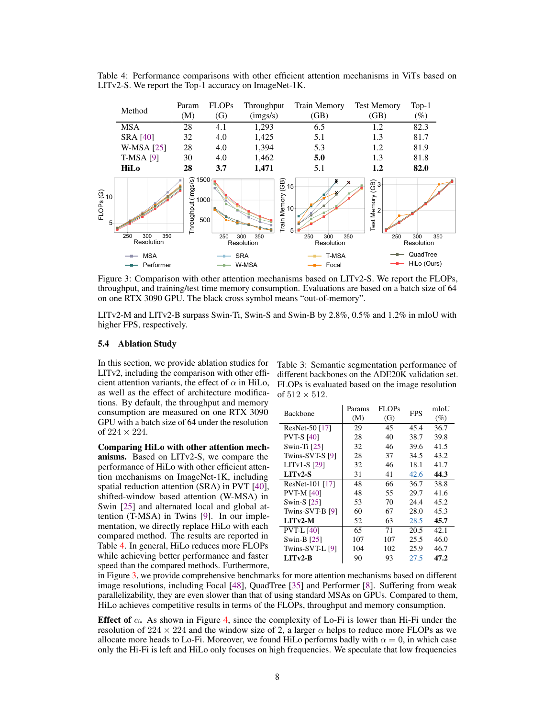<span id="page-7-2"></span>Table 4: Performance comparisons with other efficient attention mechanisms in ViTs based on LITv2-S. We report the Top-1 accuracy on ImageNet-1K.

<span id="page-7-3"></span>

Figure 3: Comparison with other attention mechanisms based on LITv2-S. We report the FLOPs, throughput, and training/test time memory consumption. Evaluations are based on a batch size of 64 on one RTX 3090 GPU. The black cross symbol means "out-of-memory".

LITv2-M and LITv2-B surpass Swin-Ti, Swin-S and Swin-B by 2.8%, 0.5% and 1.2% in mIoU with higher FPS, respectively.

#### <span id="page-7-0"></span>5.4 Ablation Study

In this section, we provide ablation studies for LITv2, including the comparison with other efficient attention variants, the effect of  $\alpha$  in HiLo, as well as the effect of architecture modifications. By default, the throughput and memory consumption are measured on one RTX 3090 GPU with a batch size of 64 under the resolution of  $224 \times 224$ .

Comparing HiLo with other attention mechanisms. Based on LITv2-S, we compare the performance of HiLo with other efficient attention mechanisms on ImageNet-1K, including spatial reduction attention (SRA) in PVT [\[40\]](#page-14-0), shifted-window based attention (W-MSA) in Swin [\[25\]](#page-13-0) and alternated local and global attention (T-MSA) in Twins [\[9\]](#page-12-3). In our implementation, we directly replace HiLo with each compared method. The results are reported in Table [4.](#page-7-2) In general, HiLo reduces more FLOPs while achieving better performance and faster speed than the compared methods. Furthermore,

<span id="page-7-1"></span>Table 3: Semantic segmentation performance of different backbones on the ADE20K validation set. FLOPs is evaluated based on the image resolution of  $512 \times 512$ .

| <b>Backbone</b>   | Params<br>(M) | FLOPs<br>(G) | <b>FPS</b> | mIoU<br>$(\%)$ |
|-------------------|---------------|--------------|------------|----------------|
| ResNet-50 [17]    | 29            | 45           | 45.4       | 36.7           |
| <b>PVT-S [40]</b> | 28            | 40           | 38.7       | 39.8           |
| Swin-Ti $[25]$    | 32            | 46           | 39.6       | 41.5           |
| Twins-SVT-S [9]   | 28            | 37           | 34.5       | 43.2           |
| $LITv1-S$ [29]    | 32            | 46           | 18.1       | 41.7           |
| $LI$ Tv2-S        | 31            | 41           | 42.6       | 44.3           |
| ResNet-101 [17]   | 48            | 66           | 36.7       | 38.8           |
| <b>PVT-M [40]</b> | 48            | 55           | 29.7       | 41.6           |
| Swin-S [25]       | 53            | 70           | 24.4       | 45.2           |
| Twins-SVT-B [9]   | 60            | 67           | 28.0       | 45.3           |
| $LI$ Tv2-M        | 52            | 63           | 28.5       | 45.7           |
| <b>PVT-L [40]</b> | 65            | 71           | 20.5       | 42.1           |
| Swin-B $[25]$     | 107           | 107          | 25.5       | 46.0           |
| Twins-SVT-L [9]   | 104           | 102          | 25.9       | 46.7           |
| $LI$ Tv2-B        | 90            | 93           | 27.5       | 47.2           |

in Figure [3,](#page-7-3) we provide comprehensive benchmarks for more attention mechanisms based on different image resolutions, including Focal [\[48\]](#page-14-1), QuadTree [\[35\]](#page-13-2) and Performer [\[8\]](#page-12-10). Suffering from weak parallelizability, they are even slower than that of using standard MSAs on GPUs. Compared to them, HiLo achieves competitive results in terms of the FLOPs, throughput and memory consumption.

Effect of  $\alpha$ . As shown in Figure [4,](#page-8-0) since the complexity of Lo-Fi is lower than Hi-Fi under the resolution of 224  $\times$  224 and the window size of 2, a larger  $\alpha$  helps to reduce more FLOPs as we allocate more heads to Lo-Fi. Moreover, we found HiLo performs badly with  $\alpha = 0$ , in which case only the Hi-Fi is left and HiLo only focuses on high frequencies. We speculate that low frequencies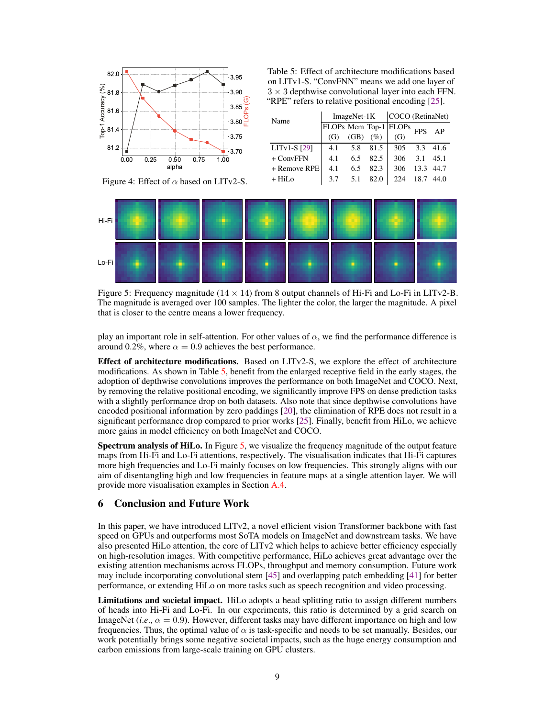<span id="page-8-0"></span>

Table 5: Effect of architecture modifications based on LITv1-S. "ConvFNN" means we add one layer of  $3 \times 3$  depthwise convolutional layer into each FFN. "RPE" refers to relative positional encoding [\[25\]](#page-13-0).

| Name             |     | ImageNet-1K |      | COCO (RetinaNet)      |     |           |
|------------------|-----|-------------|------|-----------------------|-----|-----------|
|                  |     |             |      | FLOPs Mem Top-1 FLOPs | FPS | AP        |
|                  | (G) | (GB)        | (%)  | (G)                   |     |           |
| $LITv1-S$ [29]   | 4.1 | 5.8         | 81.5 | 305                   | 3.3 | 41.6      |
| $+$ ConvFFN      | 4.1 | 6.5         | 82.5 | 306                   | 3.1 | 45.1      |
| + Remove RPE     | 4.1 | 6.5         | 82.3 | 306                   |     | 13.3 44.7 |
| $+$ HiI $\alpha$ | 37  | 51          |      |                       |     |           |

Figure 4: Effect of  $\alpha$  based on LITv2-S.

<span id="page-8-1"></span>

Figure 5: Frequency magnitude  $(14 \times 14)$  from 8 output channels of Hi-Fi and Lo-Fi in LITv2-B. The magnitude is averaged over 100 samples. The lighter the color, the larger the magnitude. A pixel that is closer to the centre means a lower frequency.

play an important role in self-attention. For other values of  $\alpha$ , we find the performance difference is around 0.2%, where  $\alpha = 0.9$  achieves the best performance.

Effect of architecture modifications. Based on LITv2-S, we explore the effect of architecture modifications. As shown in Table [5,](#page-8-0) benefit from the enlarged receptive field in the early stages, the adoption of depthwise convolutions improves the performance on both ImageNet and COCO. Next, by removing the relative positional encoding, we significantly improve FPS on dense prediction tasks with a slightly performance drop on both datasets. Also note that since depthwise convolutions have encoded positional information by zero paddings [\[20\]](#page-13-5), the elimination of RPE does not result in a significant performance drop compared to prior works [\[25\]](#page-13-0). Finally, benefit from HiLo, we achieve more gains in model efficiency on both ImageNet and COCO.

Spectrum analysis of HiLo. In Figure [5,](#page-8-1) we visualize the frequency magnitude of the output feature maps from Hi-Fi and Lo-Fi attentions, respectively. The visualisation indicates that Hi-Fi captures more high frequencies and Lo-Fi mainly focuses on low frequencies. This strongly aligns with our aim of disentangling high and low frequencies in feature maps at a single attention layer. We will provide more visualisation examples in Section [A.4.](#page-12-11)

# 6 Conclusion and Future Work

In this paper, we have introduced LITv2, a novel efficient vision Transformer backbone with fast speed on GPUs and outperforms most SoTA models on ImageNet and downstream tasks. We have also presented HiLo attention, the core of LITv2 which helps to achieve better efficiency especially on high-resolution images. With competitive performance, HiLo achieves great advantage over the existing attention mechanisms across FLOPs, throughput and memory consumption. Future work may include incorporating convolutional stem [\[45\]](#page-14-11) and overlapping patch embedding [\[41\]](#page-14-12) for better performance, or extending HiLo on more tasks such as speech recognition and video processing.

Limitations and societal impact. HiLo adopts a head splitting ratio to assign different numbers of heads into Hi-Fi and Lo-Fi. In our experiments, this ratio is determined by a grid search on ImageNet (*i.e.*,  $\alpha = 0.9$ ). However, different tasks may have different importance on high and low frequencies. Thus, the optimal value of  $\alpha$  is task-specific and needs to be set manually. Besides, our work potentially brings some negative societal impacts, such as the huge energy consumption and carbon emissions from large-scale training on GPU clusters.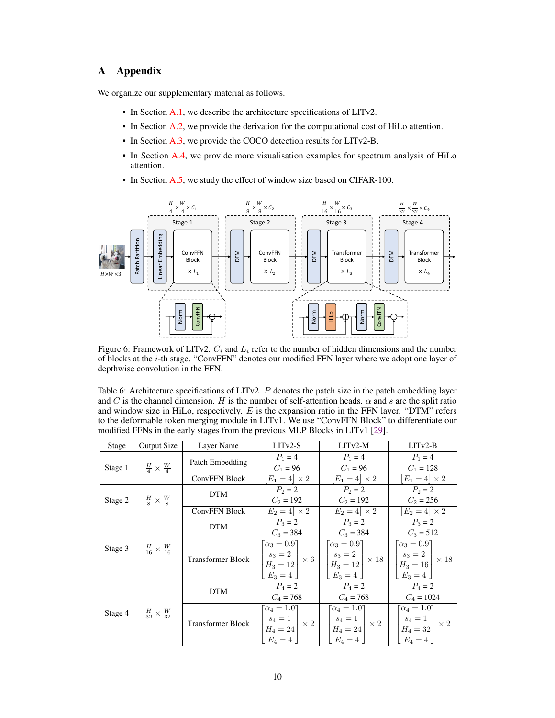# A Appendix

We organize our supplementary material as follows.

- In Section [A.1,](#page-10-1) we describe the architecture specifications of LITv2.
- In Section [A.2,](#page-10-0) we provide the derivation for the computational cost of HiLo attention.
- In Section [A.3,](#page-10-2) we provide the COCO detection results for LITv2-B.
- In Section [A.4,](#page-12-11) we provide more visualisation examples for spectrum analysis of HiLo attention.
- In Section [A.5,](#page-12-12) we study the effect of window size based on CIFAR-100.

<span id="page-9-0"></span>

Figure 6: Framework of LITv2.  $C_i$  and  $L_i$  refer to the number of hidden dimensions and the number of blocks at the i-th stage. "ConvFFN" denotes our modified FFN layer where we adopt one layer of depthwise convolution in the FFN.

<span id="page-9-1"></span>Table 6: Architecture specifications of LITv2. P denotes the patch size in the patch embedding layer and C is the channel dimension. H is the number of self-attention heads.  $\alpha$  and s are the split ratio and window size in HiLo, respectively.  $E$  is the expansion ratio in the FFN layer. "DTM" refers to the deformable token merging module in LITv1. We use "ConvFFN Block" to differentiate our modified FFNs in the early stages from the previous MLP Blocks in LITv1 [\[29\]](#page-13-4).

| Stage                                    | <b>Output Size</b>                       | Layer Name               | $LITv2-S$                                                    | $LITv2-M$                                                                                                                                                                                                                                                                                                                                                        | $LITv2-B$                      |  |
|------------------------------------------|------------------------------------------|--------------------------|--------------------------------------------------------------|------------------------------------------------------------------------------------------------------------------------------------------------------------------------------------------------------------------------------------------------------------------------------------------------------------------------------------------------------------------|--------------------------------|--|
| Stage 1 $\frac{H}{4} \times \frac{W}{4}$ |                                          | Patch Embedding          | $P_1 = 4$                                                    | $P_1 = 4$                                                                                                                                                                                                                                                                                                                                                        | $P_1 = 4$                      |  |
|                                          |                                          |                          | $C_1 = 96$                                                   | $C_1 = 96$                                                                                                                                                                                                                                                                                                                                                       | $C_1 = 128$                    |  |
|                                          |                                          | <b>ConvFFN Block</b>     | $\overline{E_1} = 4 \times 2$                                | $[E_1=4] \times 2$                                                                                                                                                                                                                                                                                                                                               | $E_1=4 \times 2$               |  |
|                                          |                                          | <b>DTM</b>               | $P_2 = 2$                                                    | $P_2 = 2$                                                                                                                                                                                                                                                                                                                                                        | $P_2 = 2$                      |  |
|                                          | Stage 2 $\frac{H}{8} \times \frac{W}{8}$ |                          | $C_2 = 192$                                                  | $C_2 = 192$                                                                                                                                                                                                                                                                                                                                                      | $C_2 = 256$                    |  |
|                                          |                                          | <b>ConvFFN Block</b>     | $E_2=4 \times 2$                                             | $[E_2=4]\times 2$                                                                                                                                                                                                                                                                                                                                                | $E_2=4 \times 2$               |  |
|                                          |                                          | <b>DTM</b>               | $P_3 = 2$                                                    | $P_3 = 2$                                                                                                                                                                                                                                                                                                                                                        | $P_3 = 2$                      |  |
|                                          |                                          |                          | $C_3 = 384$                                                  | $C_3 = 384$                                                                                                                                                                                                                                                                                                                                                      | $C_3 = 512$                    |  |
| Stage 3                                  | $\frac{H}{16} \times \frac{W}{16}$       |                          | $\lceil \alpha_3 = 0.9 \rceil$                               | $\lceil \alpha_3 = 0.9 \rceil$                                                                                                                                                                                                                                                                                                                                   | $\lceil \alpha_3 = 0.9 \rceil$ |  |
|                                          |                                          | <b>Transformer Block</b> | $\begin{vmatrix} s_3 = 2 \\ H_3 = 12 \end{vmatrix} \times 6$ | $\left  \begin{array}{c} s_3 = 2 \\ H_3 = 12 \end{array} \right  \times 18 \left  \begin{array}{c} s_3 = 2 \\ H_3 = 16 \end{array} \right  \times 18$                                                                                                                                                                                                            |                                |  |
|                                          |                                          |                          |                                                              |                                                                                                                                                                                                                                                                                                                                                                  |                                |  |
|                                          |                                          |                          | $E_3=4$                                                      | $E_3 = 4$                                                                                                                                                                                                                                                                                                                                                        | $E_3=4$                        |  |
|                                          |                                          | <b>DTM</b>               | $P_4 = 2$                                                    | $P_4=2$                                                                                                                                                                                                                                                                                                                                                          | $P_4=2$                        |  |
|                                          |                                          |                          | $C_4 = 768$                                                  | $C_4 = 768$                                                                                                                                                                                                                                                                                                                                                      | $C_4 = 1024$                   |  |
| Stage 4                                  | $\frac{H}{32} \times \frac{W}{32}$       |                          | $\lceil \alpha_4 = 1.0 \rceil$                               | $\lceil \alpha_4 = 1.0 \rceil$                                                                                                                                                                                                                                                                                                                                   | $\lceil \alpha_4 = 1.0 \rceil$ |  |
|                                          |                                          | <b>Transformer Block</b> |                                                              | $\begin{array}{ c c c c c } \hline & {s_4}=1 & & \times\ 2 & & \hline & {s_4}=1 & & \times\ 2 & & \hline & H_4=24 & & \times\ 2 & & \hline & H_4=32 & & \ & E_4=4 & & \hline \end{array} \bigg \begin{array}{c} \hline & {s_4}=1 & & \hline & {s_4}=1 & & \hline & H_4=32 & & \times\ 2 & & \hline & H_4=32 & & \ & E_4=4 & & \hline \end{array} \bigg \times 2$ |                                |  |
|                                          |                                          |                          |                                                              |                                                                                                                                                                                                                                                                                                                                                                  |                                |  |
|                                          |                                          |                          |                                                              |                                                                                                                                                                                                                                                                                                                                                                  |                                |  |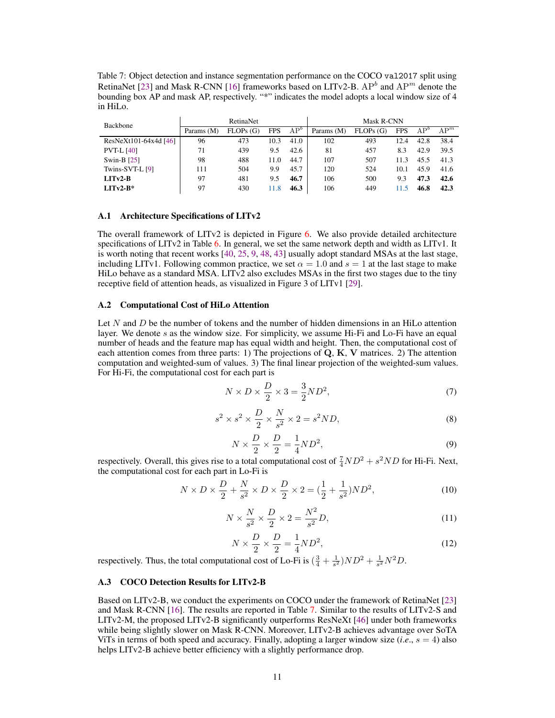<span id="page-10-3"></span>Table 7: Object detection and instance segmentation performance on the COCO val2017 split using RetinaNet [\[23\]](#page-13-24) and Mask R-CNN [\[16\]](#page-13-25) frameworks based on LITv2-B.  $AP^{b}$  and  $AP^{m}$  denote the bounding box AP and mask AP, respectively. "\*" indicates the model adopts a local window size of 4 in HiLo.

| Backbone              | RetinaNet  |          |            |                 | Mask R-CNN |          |            |              |        |
|-----------------------|------------|----------|------------|-----------------|------------|----------|------------|--------------|--------|
|                       | Params (M) | FLOPs(G) | <b>FPS</b> | AP <sup>o</sup> | Params (M) | FLOPs(G) | <b>FPS</b> | $AP^{\circ}$ | $AP^m$ |
| ResNeXt101-64x4d [46] | 96         | 473      | 10.3       | 41.0            | 102        | 493      | 12.4       | 42.8         | 38.4   |
| <b>PVT-L [40]</b>     | 71         | 439      | 9.5        | 42.6            | 81         | 457      | 8.3        | 42.9         | 39.5   |
| Swin-B $[25]$         | 98         | 488      | 11.0       | 44.7            | 107        | 507      | 11.3       | 45.5         | 41.3   |
| Twins-SVT-L [9]       | 111        | 504      | 9.9        | 45.7            | 120        | 524      | 10.1       | 45.9         | 41.6   |
| $LITv2-B$             | 97         | 481      | 9.5        | 46.7            | 106        | 500      | 9.3        | 47.3         | 42.6   |
| $LITv2-B*$            | 97         | 430      | 11.8       | 46.3            | 106        | 449      | 11.5       | 46.8         | 42.3   |

#### <span id="page-10-1"></span>A.1 Architecture Specifications of LITv2

The overall framework of LITv2 is depicted in Figure [6.](#page-9-0) We also provide detailed architecture specifications of LITv2 in Table [6.](#page-9-1) In general, we set the same network depth and width as LITv1. It is worth noting that recent works [\[40,](#page-14-0) [25,](#page-13-0) [9,](#page-12-3) [48,](#page-14-1) [43\]](#page-14-2) usually adopt standard MSAs at the last stage, including LITv1. Following common practice, we set  $\alpha = 1.0$  and  $s = 1$  at the last stage to make HiLo behave as a standard MSA. LITv2 also excludes MSAs in the first two stages due to the tiny receptive field of attention heads, as visualized in Figure 3 of LITv1 [\[29\]](#page-13-4).

## <span id="page-10-0"></span>A.2 Computational Cost of HiLo Attention

Let  $N$  and  $D$  be the number of tokens and the number of hidden dimensions in an HiLo attention layer. We denote  $s$  as the window size. For simplicity, we assume Hi-Fi and Lo-Fi have an equal number of heads and the feature map has equal width and height. Then, the computational cost of each attention comes from three parts: 1) The projections of  $Q$ ,  $K$ ,  $V$  matrices. 2) The attention computation and weighted-sum of values. 3) The final linear projection of the weighted-sum values. For Hi-Fi, the computational cost for each part is

$$
N \times D \times \frac{D}{2} \times 3 = \frac{3}{2} N D^2,\tag{7}
$$

$$
s^2 \times s^2 \times \frac{D}{2} \times \frac{N}{s^2} \times 2 = s^2 ND,
$$
\n(8)

$$
N \times \frac{D}{2} \times \frac{D}{2} = \frac{1}{4} N D^2,\tag{9}
$$

respectively. Overall, this gives rise to a total computational cost of  $\frac{7}{4}ND^2 + s^2ND$  for Hi-Fi. Next, the computational cost for each part in Lo-Fi is

$$
N \times D \times \frac{D}{2} + \frac{N}{s^2} \times D \times \frac{D}{2} \times 2 = (\frac{1}{2} + \frac{1}{s^2})ND^2,
$$
 (10)

$$
N \times \frac{N}{s^2} \times \frac{D}{2} \times 2 = \frac{N^2}{s^2} D,\tag{11}
$$

$$
N \times \frac{D}{2} \times \frac{D}{2} = \frac{1}{4} N D^2,\tag{12}
$$

respectively. Thus, the total computational cost of Lo-Fi is  $(\frac{3}{4} + \frac{1}{s^2})ND^2 + \frac{1}{s^2}N^2D$ .

### <span id="page-10-2"></span>A.3 COCO Detection Results for LITv2-B

Based on LITv2-B, we conduct the experiments on COCO under the framework of RetinaNet [\[23\]](#page-13-24) and Mask R-CNN [\[16\]](#page-13-25). The results are reported in Table [7.](#page-10-3) Similar to the results of LITv2-S and LITv2-M, the proposed LITv2-B significantly outperforms ResNeXt [\[46\]](#page-14-13) under both frameworks while being slightly slower on Mask R-CNN. Moreover, LITv2-B achieves advantage over SoTA ViTs in terms of both speed and accuracy. Finally, adopting a larger window size  $(i.e., s = 4)$  also helps LITv2-B achieve better efficiency with a slightly performance drop.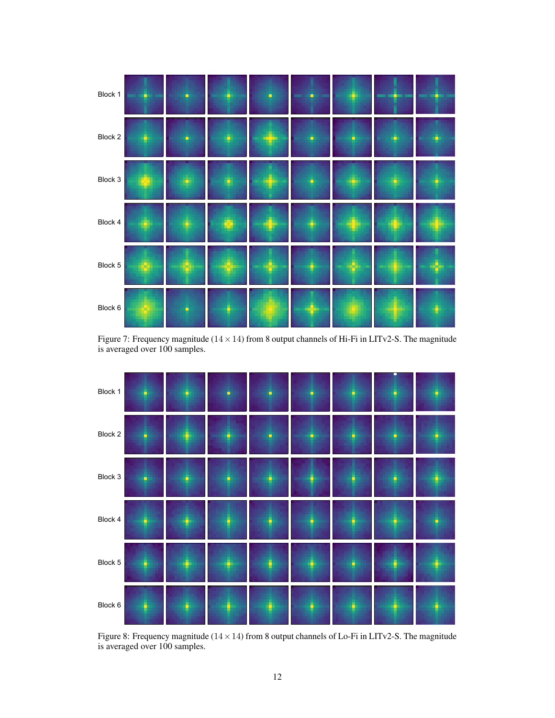<span id="page-11-0"></span>

Figure 7: Frequency magnitude  $(14 \times 14)$  from 8 output channels of Hi-Fi in LITv2-S. The magnitude is averaged over 100 samples.

<span id="page-11-1"></span>

Figure 8: Frequency magnitude  $(14 \times 14)$  from 8 output channels of Lo-Fi in LITv2-S. The magnitude is averaged over 100 samples.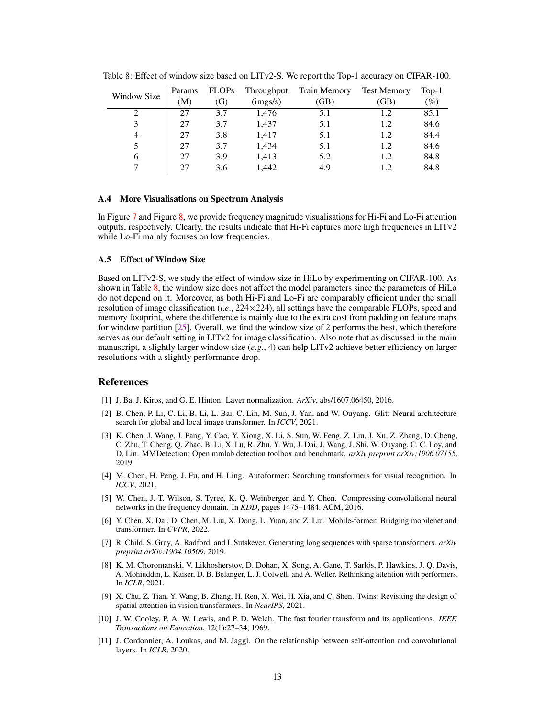|             | Params | <b>FLOPs</b> | Throughput                   | Train Memory | <b>Test Memory</b> | $Top-1$ |
|-------------|--------|--------------|------------------------------|--------------|--------------------|---------|
| Window Size | (M)    | (G)          | $\left(\text{imgs/s}\right)$ | (GB)         | (GB)               | $(\%)$  |
| ∍           | 27     | 3.7          | 1.476                        | 5.1          | 1.2                | 85.1    |
| 3           | 27     | 3.7          | 1,437                        | 5.1          | 1.2                | 84.6    |
| 4           | 27     | 3.8          | 1.417                        | 5.1          | 1.2                | 84.4    |
| 5           | 27     | 3.7          | 1.434                        | 5.1          | 1.2                | 84.6    |
| 6           | 27     | 3.9          | 1.413                        | 5.2          | 1.2                | 84.8    |
|             |        | 3.6          | 1.442                        | 4.9          |                    | 84.8    |

<span id="page-12-13"></span>Table 8: Effect of window size based on LITv2-S. We report the Top-1 accuracy on CIFAR-100.

#### <span id="page-12-11"></span>A.4 More Visualisations on Spectrum Analysis

In Figure [7](#page-11-0) and Figure [8,](#page-11-1) we provide frequency magnitude visualisations for Hi-Fi and Lo-Fi attention outputs, respectively. Clearly, the results indicate that Hi-Fi captures more high frequencies in LITv2 while Lo-Fi mainly focuses on low frequencies.

## <span id="page-12-12"></span>A.5 Effect of Window Size

Based on LITv2-S, we study the effect of window size in HiLo by experimenting on CIFAR-100. As shown in Table [8,](#page-12-13) the window size does not affect the model parameters since the parameters of HiLo do not depend on it. Moreover, as both Hi-Fi and Lo-Fi are comparably efficient under the small resolution of image classification (*i*.*e*., 224×224), all settings have the comparable FLOPs, speed and memory footprint, where the difference is mainly due to the extra cost from padding on feature maps for window partition [\[25\]](#page-13-0). Overall, we find the window size of 2 performs the best, which therefore serves as our default setting in LITv2 for image classification. Also note that as discussed in the main manuscript, a slightly larger window size (*e*.*g*., 4) can help LITv2 achieve better efficiency on larger resolutions with a slightly performance drop.

#### References

- <span id="page-12-6"></span>[1] J. Ba, J. Kiros, and G. E. Hinton. Layer normalization. *ArXiv*, abs/1607.06450, 2016.
- <span id="page-12-1"></span>[2] B. Chen, P. Li, C. Li, B. Li, L. Bai, C. Lin, M. Sun, J. Yan, and W. Ouyang. Glit: Neural architecture search for global and local image transformer. In *ICCV*, 2021.
- <span id="page-12-9"></span>[3] K. Chen, J. Wang, J. Pang, Y. Cao, Y. Xiong, X. Li, S. Sun, W. Feng, Z. Liu, J. Xu, Z. Zhang, D. Cheng, C. Zhu, T. Cheng, Q. Zhao, B. Li, X. Lu, R. Zhu, Y. Wu, J. Dai, J. Wang, J. Shi, W. Ouyang, C. C. Loy, and D. Lin. MMDetection: Open mmlab detection toolbox and benchmark. *arXiv preprint arXiv:1906.07155*, 2019.
- <span id="page-12-0"></span>[4] M. Chen, H. Peng, J. Fu, and H. Ling. Autoformer: Searching transformers for visual recognition. In *ICCV*, 2021.
- <span id="page-12-5"></span>[5] W. Chen, J. T. Wilson, S. Tyree, K. Q. Weinberger, and Y. Chen. Compressing convolutional neural networks in the frequency domain. In *KDD*, pages 1475–1484. ACM, 2016.
- <span id="page-12-8"></span>[6] Y. Chen, X. Dai, D. Chen, M. Liu, X. Dong, L. Yuan, and Z. Liu. Mobile-former: Bridging mobilenet and transformer. In *CVPR*, 2022.
- <span id="page-12-2"></span>[7] R. Child, S. Gray, A. Radford, and I. Sutskever. Generating long sequences with sparse transformers. *arXiv preprint arXiv:1904.10509*, 2019.
- <span id="page-12-10"></span>[8] K. M. Choromanski, V. Likhosherstov, D. Dohan, X. Song, A. Gane, T. Sarlós, P. Hawkins, J. Q. Davis, A. Mohiuddin, L. Kaiser, D. B. Belanger, L. J. Colwell, and A. Weller. Rethinking attention with performers. In *ICLR*, 2021.
- <span id="page-12-3"></span>[9] X. Chu, Z. Tian, Y. Wang, B. Zhang, H. Ren, X. Wei, H. Xia, and C. Shen. Twins: Revisiting the design of spatial attention in vision transformers. In *NeurIPS*, 2021.
- <span id="page-12-4"></span>[10] J. W. Cooley, P. A. W. Lewis, and P. D. Welch. The fast fourier transform and its applications. *IEEE Transactions on Education*, 12(1):27–34, 1969.
- <span id="page-12-7"></span>[11] J. Cordonnier, A. Loukas, and M. Jaggi. On the relationship between self-attention and convolutional layers. In *ICLR*, 2020.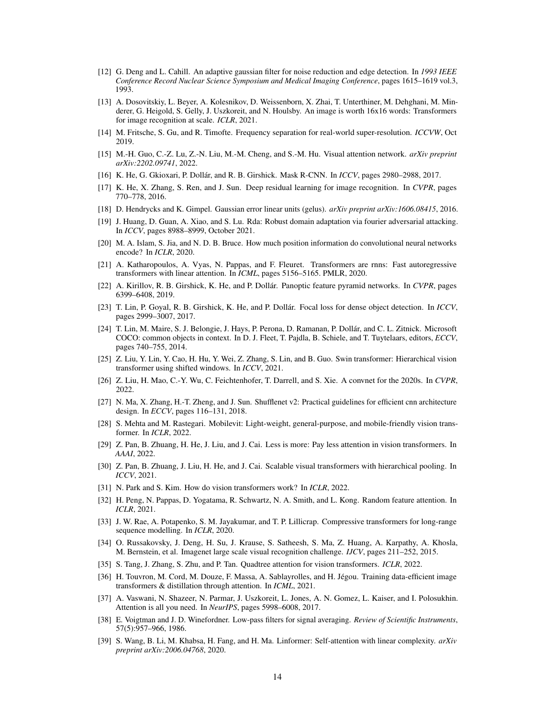- <span id="page-13-13"></span>[12] G. Deng and L. Cahill. An adaptive gaussian filter for noise reduction and edge detection. In *1993 IEEE Conference Record Nuclear Science Symposium and Medical Imaging Conference*, pages 1615–1619 vol.3, 1993.
- <span id="page-13-6"></span>[13] A. Dosovitskiy, L. Beyer, A. Kolesnikov, D. Weissenborn, X. Zhai, T. Unterthiner, M. Dehghani, M. Minderer, G. Heigold, S. Gelly, J. Uszkoreit, and N. Houlsby. An image is worth 16x16 words: Transformers for image recognition at scale. *ICLR*, 2021.
- <span id="page-13-14"></span>[14] M. Fritsche, S. Gu, and R. Timofte. Frequency separation for real-world super-resolution. *ICCVW*, Oct 2019.
- <span id="page-13-3"></span>[15] M.-H. Guo, C.-Z. Lu, Z.-N. Liu, M.-M. Cheng, and S.-M. Hu. Visual attention network. *arXiv preprint arXiv:2202.09741*, 2022.
- <span id="page-13-25"></span>[16] K. He, G. Gkioxari, P. Dollár, and R. B. Girshick. Mask R-CNN. In *ICCV*, pages 2980–2988, 2017.
- <span id="page-13-26"></span>[17] K. He, X. Zhang, S. Ren, and J. Sun. Deep residual learning for image recognition. In *CVPR*, pages 770–778, 2016.
- <span id="page-13-16"></span>[18] D. Hendrycks and K. Gimpel. Gaussian error linear units (gelus). *arXiv preprint arXiv:1606.08415*, 2016.
- <span id="page-13-15"></span>[19] J. Huang, D. Guan, A. Xiao, and S. Lu. Rda: Robust domain adaptation via fourier adversarial attacking. In *ICCV*, pages 8988–8999, October 2021.
- <span id="page-13-5"></span>[20] M. A. Islam, S. Jia, and N. D. B. Bruce. How much position information do convolutional neural networks encode? In *ICLR*, 2020.
- <span id="page-13-10"></span>[21] A. Katharopoulos, A. Vyas, N. Pappas, and F. Fleuret. Transformers are rnns: Fast autoregressive transformers with linear attention. In *ICML*, pages 5156–5165. PMLR, 2020.
- <span id="page-13-27"></span>[22] A. Kirillov, R. B. Girshick, K. He, and P. Dollár. Panoptic feature pyramid networks. In *CVPR*, pages 6399–6408, 2019.
- <span id="page-13-24"></span>[23] T. Lin, P. Goyal, R. B. Girshick, K. He, and P. Dollár. Focal loss for dense object detection. In *ICCV*, pages 2999–3007, 2017.
- <span id="page-13-20"></span>[24] T. Lin, M. Maire, S. J. Belongie, J. Hays, P. Perona, D. Ramanan, P. Dollár, and C. L. Zitnick. Microsoft COCO: common objects in context. In D. J. Fleet, T. Pajdla, B. Schiele, and T. Tuytelaars, editors, *ECCV*, pages 740–755, 2014.
- <span id="page-13-0"></span>[25] Z. Liu, Y. Lin, Y. Cao, H. Hu, Y. Wei, Z. Zhang, S. Lin, and B. Guo. Swin transformer: Hierarchical vision transformer using shifted windows. In *ICCV*, 2021.
- <span id="page-13-21"></span>[26] Z. Liu, H. Mao, C.-Y. Wu, C. Feichtenhofer, T. Darrell, and S. Xie. A convnet for the 2020s. In *CVPR*, 2022.
- <span id="page-13-1"></span>[27] N. Ma, X. Zhang, H.-T. Zheng, and J. Sun. Shufflenet v2: Practical guidelines for efficient cnn architecture design. In *ECCV*, pages 116–131, 2018.
- <span id="page-13-23"></span>[28] S. Mehta and M. Rastegari. Mobilevit: Light-weight, general-purpose, and mobile-friendly vision transformer. In *ICLR*, 2022.
- <span id="page-13-4"></span>[29] Z. Pan, B. Zhuang, H. He, J. Liu, and J. Cai. Less is more: Pay less attention in vision transformers. In *AAAI*, 2022.
- <span id="page-13-8"></span>[30] Z. Pan, B. Zhuang, J. Liu, H. He, and J. Cai. Scalable visual transformers with hierarchical pooling. In *ICCV*, 2021.
- <span id="page-13-17"></span>[31] N. Park and S. Kim. How do vision transformers work? In *ICLR*, 2022.
- <span id="page-13-11"></span>[32] H. Peng, N. Pappas, D. Yogatama, R. Schwartz, N. A. Smith, and L. Kong. Random feature attention. In *ICLR*, 2021.
- <span id="page-13-12"></span>[33] J. W. Rae, A. Potapenko, S. M. Jayakumar, and T. P. Lillicrap. Compressive transformers for long-range sequence modelling. In *ICLR*, 2020.
- <span id="page-13-19"></span>[34] O. Russakovsky, J. Deng, H. Su, J. Krause, S. Satheesh, S. Ma, Z. Huang, A. Karpathy, A. Khosla, M. Bernstein, et al. Imagenet large scale visual recognition challenge. *IJCV*, pages 211–252, 2015.
- <span id="page-13-2"></span>[35] S. Tang, J. Zhang, S. Zhu, and P. Tan. Quadtree attention for vision transformers. *ICLR*, 2022.
- <span id="page-13-22"></span>[36] H. Touvron, M. Cord, M. Douze, F. Massa, A. Sablayrolles, and H. Jégou. Training data-efficient image transformers & distillation through attention. In *ICML*, 2021.
- <span id="page-13-7"></span>[37] A. Vaswani, N. Shazeer, N. Parmar, J. Uszkoreit, L. Jones, A. N. Gomez, L. Kaiser, and I. Polosukhin. Attention is all you need. In *NeurIPS*, pages 5998–6008, 2017.
- <span id="page-13-18"></span>[38] E. Voigtman and J. D. Winefordner. Low-pass filters for signal averaging. *Review of Scientific Instruments*, 57(5):957–966, 1986.
- <span id="page-13-9"></span>[39] S. Wang, B. Li, M. Khabsa, H. Fang, and H. Ma. Linformer: Self-attention with linear complexity. *arXiv preprint arXiv:2006.04768*, 2020.